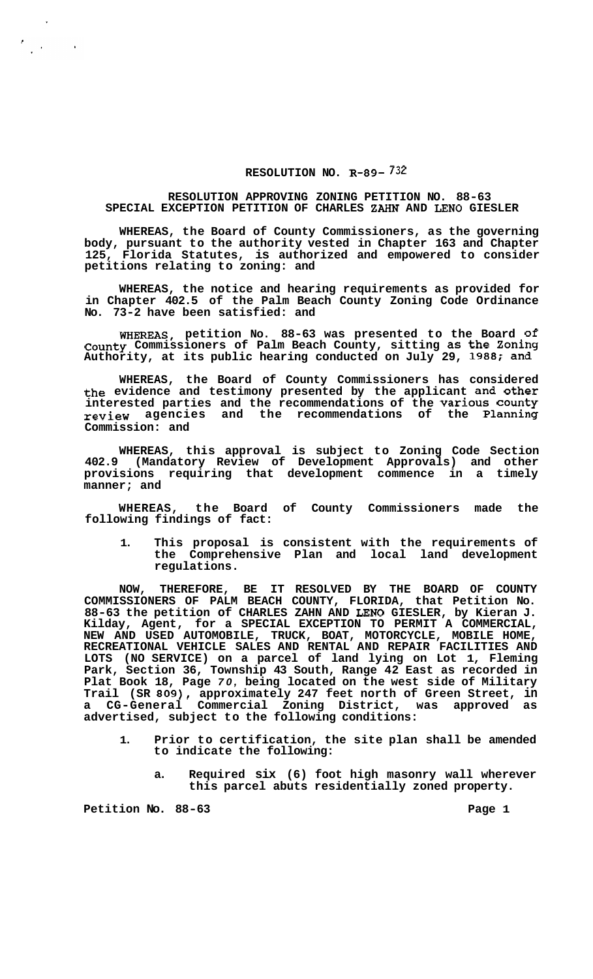## **RESOLUTION NO. R-89-732**

## **RESOLUTION APPROVING ZONING PETITION NO. 88-63 SPECIAL EXCEPTION PETITION OF CHARLES ZAHN AND LENO GIESLER**

**WHEREAS, the Board of County Commissioners, as the governing body, pursuant to the authority vested in Chapter 163 and Chapter 125, Florida Statutes, is authorized and empowered to consider petitions relating to zoning: and** 

**WHEREAS, the notice and hearing requirements as provided for in Chapter 402.5 of the Palm Beach County Zoning Code Ordinance No. 73-2 have been satisfied: and** 

**WHEREAS, petition NO. 88-63 was presented to the Board of County Commissioners of Palm Beach County, sitting as the Zoning Authority, at its public hearing conducted on July 29, 1988; and** 

**WHEREAS, the Board of County Commissioners has considered the evidence and testimony presented by the applicant and other interested parties and the recommendations of the Various county review agencies and the recommendations of the Planning Commission: and** 

**WHEREAS, this approval is subject to Zoning Code Section 402.9 (Mandatory Review of Development Approvals) and other provisions requiring that development commence in a timely manner; and** 

**WHEREAS, the Board of County Commissioners made the following findings of fact:** 

**1. This proposal is consistent with the requirements of the Comprehensive Plan and local land development regulations.** 

**NOW, THEREFORE, BE IT RESOLVED BY THE BOARD OF COUNTY COMMISSIONERS OF PALM BEACH COUNTY, FLORIDA, that Petition No. 88-63 the petition of CHARLES ZAHN AND LENO GIESLER, by Kieran J. Kilday, Agent, for a SPECIAL EXCEPTION TO PERMIT A COMMERCIAL, NEW AND USED AUTOMOBILE, TRUCK, BOAT, MOTORCYCLE, MOBILE HOME, RECREATIONAL VEHICLE SALES AND RENTAL AND REPAIR FACILITIES AND LOTS (NO SERVICE) on a parcel of land lying on Lot 1, Fleming Park, Section 36, Township 43 South, Range 42 East as recorded in Plat Book 18, Page** *70,* **being located on the west side of Military Trail (SR 809), approximately 247 feet north of Green Street, in**  Commercial Zoning District, was approved as **advertised, subject to the following conditions:** 

- **1. Prior to certification, the site plan shall be amended to indicate the following:** 
	- **a. Required six (6) foot high masonry wall wherever this parcel abuts residentially zoned property.**

Petition No. 88-63 **Page 1 Page 1** 

 $\frac{\epsilon}{\epsilon}$  , ,

 $\sim$   $\sim$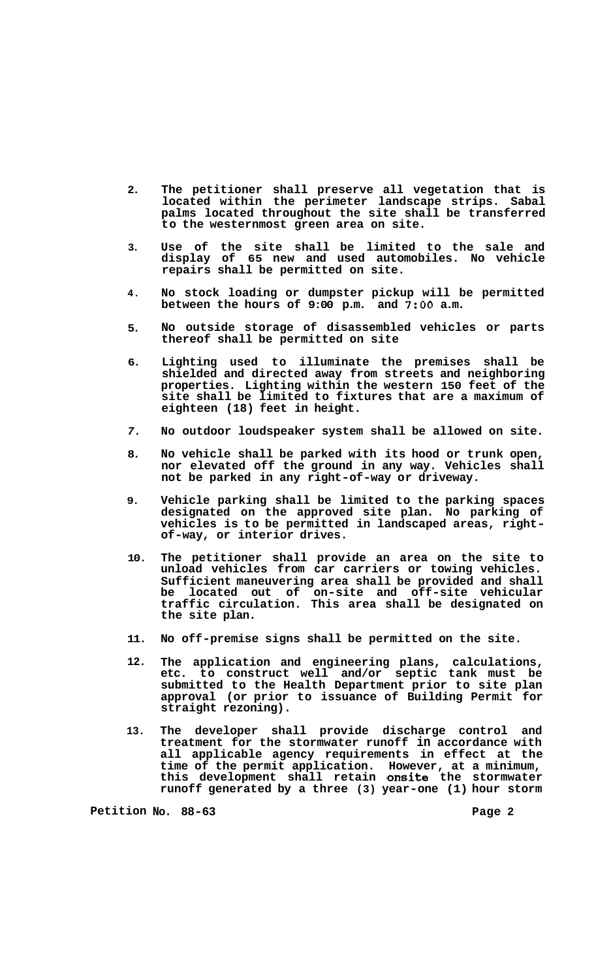- **2. The petitioner shall preserve all vegetation that is located within the perimeter landscape strips. Sabal palms located throughout the site shall be transferred to the westernmost green area on site.**
- **3. Use of the site shall be limited to the sale and display of 65 new and used automobiles. No vehicle repairs shall be permitted on site.**
- **4. No stock loading or dumpster pickup will be permitted between the hours of 9:00 p.m. and 7:OO a.m.**
- **5. No outside storage of disassembled vehicles or parts thereof shall be permitted on site**
- **6. Lighting used to illuminate the premises shall be shielded and directed away from streets and neighboring properties. Lighting within the western 150 feet of the site shall be limited to fixtures that are a maximum of eighteen (18) feet in height.**
- *7.*  **No outdoor loudspeaker system shall be allowed on site.**
- **8. No vehicle shall be parked with its hood or trunk open, nor elevated off the ground in any way. Vehicles shall not be parked in any right-of-way or driveway.**
- **9. Vehicle parking shall be limited to the parking spaces designated on the approved site plan. No parking of vehicles is to be permitted in landscaped areas, right- of-way, or interior drives.**
- **10. The petitioner shall provide an area on the site to unload vehicles from car carriers or towing vehicles. Sufficient maneuvering area shall be provided and shall be located out of on-site and off-site vehicular traffic circulation. This area shall be designated on the site plan.**
- **11. No off-premise signs shall be permitted on the site.**
- **12. The application and engineering plans, calculations, etc. to construct well and/or septic tank must be submitted to the Health Department prior to site plan approval (or prior to issuance of Building Permit for straight rezoning).**
- **13. The developer shall provide discharge control and treatment for the stormwater runoff in accordance with all applicable agency requirements in effect at the time of the permit application. However, at a minimum, this development shall retain onsite the stormwater runoff generated by a three (3) year-one (1) hour storm**

**Petition No. 88-63 Page 2**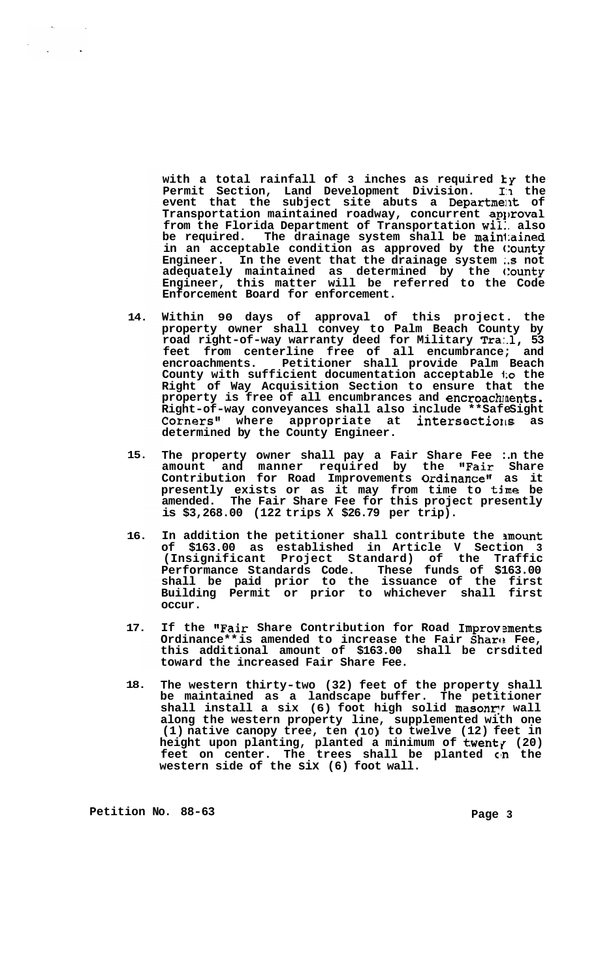**with a total rainfall of 3 inches as required ky the Permit Section, Land Development Division. I:I the**  event that the subject site abuts a Department of **Transportation maintained roadway, concurrent aplzoval from the Florida Department of Transportation wil:. also be required. The drainage system shall be main1:ained in an acceptable condition as approved by the c:ounty Engineer. In the event that the drainage system :.s not adequately maintained as determined by the clounty Engineer, this matter will be referred to the Code Enforcement Board for enforcement.** 

- **14. Within 90 days of approval of this project. the property owner shall convey to Palm Beach County by road right-of-way warranty deed for Military Tra:.l, 53 feet from centerline free of all encumbrance; and encroachments. Petitioner shall provide Palm Beach County with sufficient documentation acceptable l:o the Right of Way Acquisition Section to ensure that the**  property is free of all encumbrances and encroach ments. Right-of-way conveyances shall also include \*\*SafeSight **Cornersn\* where appropriate at intersectiorls as determined by the County Engineer.**
- **15. The property owner shall pay a Fair Share Fee :.n the amount and manner required by the #\*Fair Share**  Contribution for Road Improvements O**rdinance"** as it **presently exists or as it may from time to time be amended. The Fair Share Fee for this project presently is \$3,268.00 (122 trips X \$26.79 per trip).**
- **16. In addition the petitioner shall contribute the nmount of \$163.00 as established in Article V Section 3 (Insignificant Project Standard) of the Traffic Performance Standards Code. These funds of \$163.00 shall be paid prior to the issuance of the first Building Permit or prior to whichever shall first occur.**
- **17. If the \*\*Fair Share Contribution for Road Improvsments Ordinance\*\* is amended to increase the Fair Sharc: Fee, this additional amount of \$163.00 shall be crsdited toward the increased Fair Share Fee.**
- **18. The western thirty-two (32) feet of the property shall be maintained as a landscape buffer. The petitioner**  shall install a six (6) foot high solid masonry wall **along the western property line, supplemented with one (1) native canopy tree, ten (10) to twelve (12) feet in**  height upon planting, planted a minimum of **twent**y (20) feet on center. The trees shall be planted on the **western side of the six (6) foot wall.**

Petition No. 88-63 **Page 3 Page 3** 

 $\mathbb{R}^2$